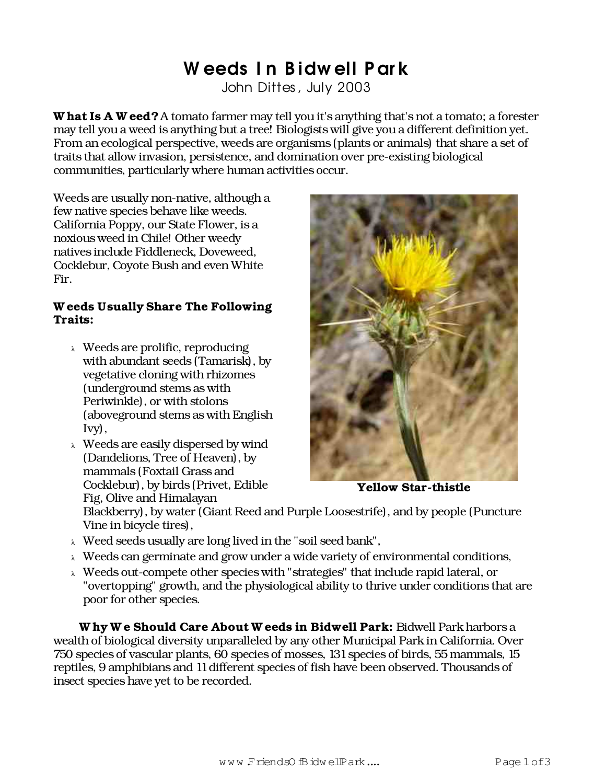## Weeds In Bidwell Park

John Dittes, July 2003

W hat Is A W eed? A tomato farmer may tell you it's anything that's not a tomato; a forester may tell you a weed is anything but a tree! Biologists will give you a different definition yet. From an ecological perspective, weeds are organisms (plants or animals) that share a set of traits that allow invasion, persistence, and domination over pre-existing biological communities, particularly where human activities occur.

Weeds are usually non-native, although a few native species behave like weeds. California Poppy, our State Flower, is a noxious weed in Chile! Other weedy natives include Fiddleneck, Doveweed, Cocklebur, Coyote Bush and even White Fir.

## W eeds Usually Share The Following Traits:

- <sup>λ</sup> Weeds are prolific, reproducing with abundant seeds (Tamarisk), by vegetative cloning with rhizomes (underground stems as with Periwinkle), or with stolons (aboveground stems as with English Ivy),
- <sup>λ</sup> Weeds are easily dispersed by wind (Dandelions, Tree of Heaven), by mammals (Foxtail Grass and Cocklebur), by birds (Privet, Edible Fig, Olive and Himalayan



Yellow Star-thistle

Blackberry), by water (Giant Reed and Purple Loosestrife), and by people (Puncture Vine in bicycle tires),

- <sup>λ</sup> Weed seeds usually are long lived in the "soil seed bank",
- $\lambda$  Weeds can germinate and grow under a wide variety of environmental conditions,
- <sup>λ</sup> Weeds out-compete other species with "strategies" that include rapid lateral, or "overtopping" growth, and the physiological ability to thrive under conditions that are poor for other species.

Why We Should Care About Weeds in Bidwell Park: Bidwell Park harbors a wealth of biological diversity unparalleled by any other Municipal Park in California. Over 750 species of vascular plants, 60 species of mosses, 131species of birds, 55 mammals, 15 reptiles, 9 amphibians and 11 different species of fish have been observed. Thousands of insect species have yet to be recorded.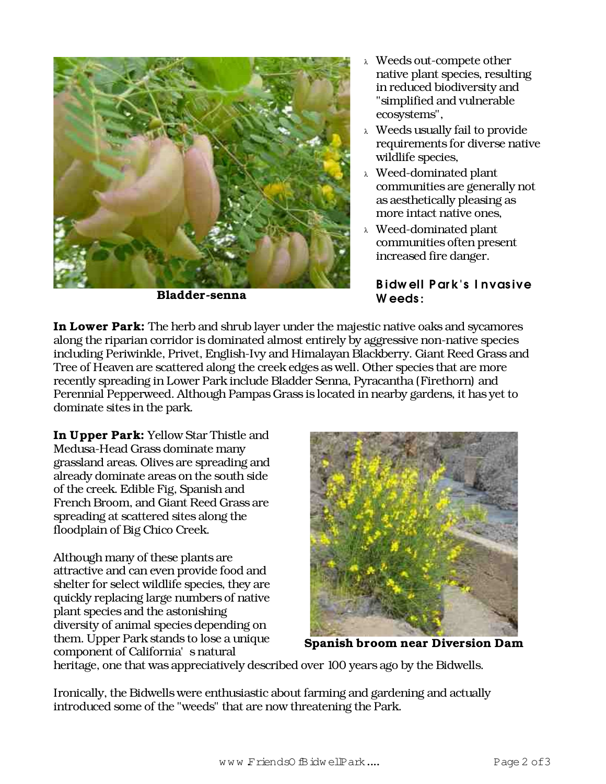

Bladder-senna

- <sup>λ</sup> Weeds out-compete other native plant species, resulting in reduced biodiversity and "simplified and vulnerable ecosystems",
- <sup>λ</sup> Weeds usually fail to provide requirements for diverse native wildlife species,
- <sup>λ</sup> Weed-dominated plant communities are generally not as aesthetically pleasing as more intact native ones,
- <sup>λ</sup> Weed-dominated plant communities often present increased fire danger.

## B idw ell P ar k's I nvas ive W eeds :

In Lower Park: The herb and shrub layer under the majestic native oaks and sycamores along the riparian corridor is dominated almost entirely by aggressive non-native species including Periwinkle, Privet, English-Ivy and Himalayan Blackberry. Giant Reed Grass and Tree of Heaven are scattered along the creek edges as well. Other species that are more recently spreading in Lower Park include Bladder Senna, Pyracantha (Firethorn) and Perennial Pepperweed. Although Pampas Grass is located in nearby gardens, it has yet to dominate sites in the park.

In Upper Park: Yellow Star Thistle and Medusa-Head Grass dominate many grassland areas. Olives are spreading and already dominate areas on the south side of the creek. Edible Fig, Spanish and French Broom, and Giant Reed Grass are spreading at scattered sites along the floodplain of Big Chico Creek.

Although many of these plants are attractive and can even provide food and shelter for select wildlife species, they are quickly replacing large numbers of native plant species and the astonishing diversity of animal species depending on them. Upper Park stands to lose a unique component of California's natural



Spanish broom near Diversion Dam

heritage, one that was appreciatively described over 100 years ago by the Bidwells.

Ironically, the Bidwells were enthusiastic about farming and gardening and actually introduced some of the "weeds" that are now threatening the Park.